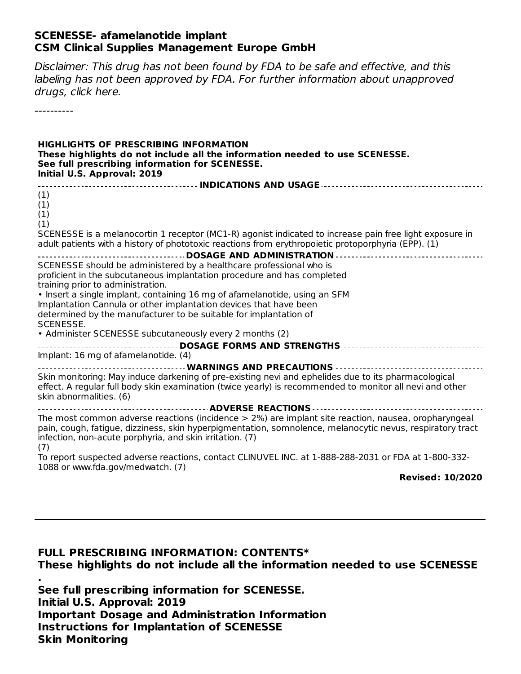#### **SCENESSE- afamelanotide implant CSM Clinical Supplies Management Europe GmbH**

Disclaimer: This drug has not been found by FDA to be safe and effective, and this labeling has not been approved by FDA. For further information about unapproved drugs, click here.

----------

#### **HIGHLIGHTS OF PRESCRIBING INFORMATION These highlights do not include all the information needed to use SCENESSE. See full prescribing information for SCENESSE. Initial U.S. Approval: 2019**

| (1)<br>(1)                                                                                                                                                                                                                                                                            |  |  |  |  |
|---------------------------------------------------------------------------------------------------------------------------------------------------------------------------------------------------------------------------------------------------------------------------------------|--|--|--|--|
| (1)<br>(1)                                                                                                                                                                                                                                                                            |  |  |  |  |
| SCENESSE is a melanocortin 1 receptor (MC1-R) agonist indicated to increase pain free light exposure in<br>adult patients with a history of phototoxic reactions from erythropoietic protoporphyria (EPP). (1)                                                                        |  |  |  |  |
|                                                                                                                                                                                                                                                                                       |  |  |  |  |
| SCENESSE should be administered by a healthcare professional who is                                                                                                                                                                                                                   |  |  |  |  |
| proficient in the subcutaneous implantation procedure and has completed<br>training prior to administration.                                                                                                                                                                          |  |  |  |  |
| • Insert a single implant, containing 16 mg of afamelanotide, using an SFM                                                                                                                                                                                                            |  |  |  |  |
| Implantation Cannula or other implantation devices that have been                                                                                                                                                                                                                     |  |  |  |  |
| determined by the manufacturer to be suitable for implantation of                                                                                                                                                                                                                     |  |  |  |  |
| <b>SCENESSE.</b>                                                                                                                                                                                                                                                                      |  |  |  |  |
| • Administer SCENESSE subcutaneously every 2 months (2)                                                                                                                                                                                                                               |  |  |  |  |
|                                                                                                                                                                                                                                                                                       |  |  |  |  |
| Implant: 16 mg of afamelanotide. (4)                                                                                                                                                                                                                                                  |  |  |  |  |
| <b>WARNINGS AND PRECAUTIONS</b>                                                                                                                                                                                                                                                       |  |  |  |  |
| Skin monitoring: May induce darkening of pre-existing nevi and ephelides due to its pharmacological<br>effect. A regular full body skin examination (twice yearly) is recommended to monitor all nevi and other<br>skin abnormalities. (6)                                            |  |  |  |  |
|                                                                                                                                                                                                                                                                                       |  |  |  |  |
| The most common adverse reactions (incidence $>$ 2%) are implant site reaction, nausea, oropharyngeal<br>pain, cough, fatigue, dizziness, skin hyperpigmentation, somnolence, melanocytic nevus, respiratory tract<br>infection, non-acute porphyria, and skin irritation. (7)<br>(7) |  |  |  |  |
| To report suspected adverse reactions, contact CLINUVEL INC. at 1-888-288-2031 or FDA at 1-800-332-<br>1088 or www.fda.gov/medwatch. (7)                                                                                                                                              |  |  |  |  |

**Revised: 10/2020**

**FULL PRESCRIBING INFORMATION: CONTENTS\* These highlights do not include all the information needed to use SCENESSE . See full prescribing information for SCENESSE. Initial U.S. Approval: 2019 Important Dosage and Administration Information Instructions for Implantation of SCENESSE Skin Monitoring**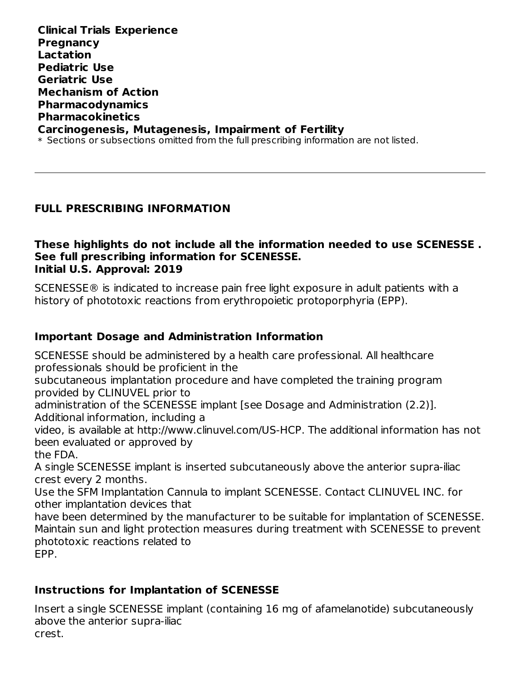**Clinical Trials Experience Pregnancy Lactation Pediatric Use Geriatric Use Mechanism of Action Pharmacodynamics Pharmacokinetics Carcinogenesis, Mutagenesis, Impairment of Fertility**  $\ast$  Sections or subsections omitted from the full prescribing information are not listed.

#### **FULL PRESCRIBING INFORMATION**

#### **These highlights do not include all the information needed to use SCENESSE . See full prescribing information for SCENESSE. Initial U.S. Approval: 2019**

SCENESSE® is indicated to increase pain free light exposure in adult patients with a history of phototoxic reactions from erythropoietic protoporphyria (EPP).

#### **Important Dosage and Administration Information**

SCENESSE should be administered by a health care professional. All healthcare professionals should be proficient in the

subcutaneous implantation procedure and have completed the training program provided by CLINUVEL prior to

administration of the SCENESSE implant [see Dosage and Administration (2.2)]. Additional information, including a

video, is available at http://www.clinuvel.com/US-HCP. The additional information has not been evaluated or approved by the FDA.

A single SCENESSE implant is inserted subcutaneously above the anterior supra-iliac crest every 2 months.

Use the SFM Implantation Cannula to implant SCENESSE. Contact CLINUVEL INC. for other implantation devices that

have been determined by the manufacturer to be suitable for implantation of SCENESSE. Maintain sun and light protection measures during treatment with SCENESSE to prevent phototoxic reactions related to EPP.

#### **Instructions for Implantation of SCENESSE**

Insert a single SCENESSE implant (containing 16 mg of afamelanotide) subcutaneously above the anterior supra-iliac crest.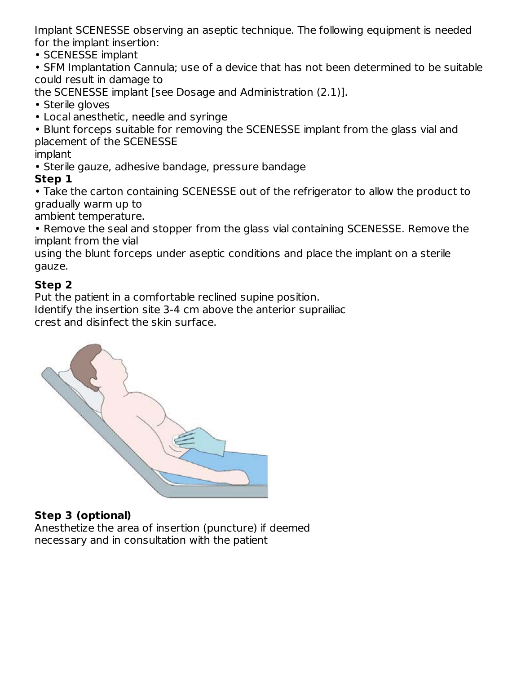Implant SCENESSE observing an aseptic technique. The following equipment is needed for the implant insertion:

• SCENESSE implant

• SFM Implantation Cannula; use of a device that has not been determined to be suitable could result in damage to

the SCENESSE implant [see Dosage and Administration (2.1)].

- Sterile gloves
- Local anesthetic, needle and syringe

• Blunt forceps suitable for removing the SCENESSE implant from the glass vial and placement of the SCENESSE

implant

• Sterile gauze, adhesive bandage, pressure bandage

#### **Step 1**

• Take the carton containing SCENESSE out of the refrigerator to allow the product to gradually warm up to

ambient temperature.

• Remove the seal and stopper from the glass vial containing SCENESSE. Remove the implant from the vial

using the blunt forceps under aseptic conditions and place the implant on a sterile gauze.

#### **Step 2**

Put the patient in a comfortable reclined supine position.

Identify the insertion site 3-4 cm above the anterior suprailiac

crest and disinfect the skin surface.



### **Step 3 (optional)**

Anesthetize the area of insertion (puncture) if deemed necessary and in consultation with the patient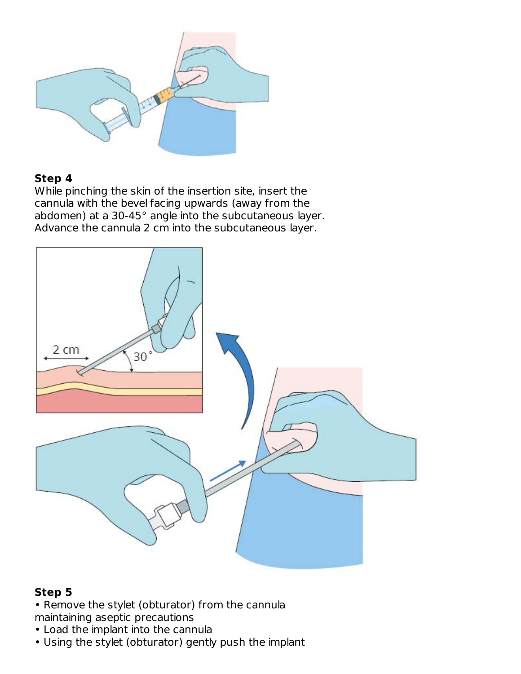

#### **Step 4**

While pinching the skin of the insertion site, insert the cannula with the bevel facing upwards (away from the abdomen) at a 30-45° angle into the subcutaneous layer. Advance the cannula 2 cm into the subcutaneous layer.



#### **Step 5**

• Remove the stylet (obturator) from the cannula maintaining aseptic precautions

- Load the implant into the cannula
- Using the stylet (obturator) gently push the implant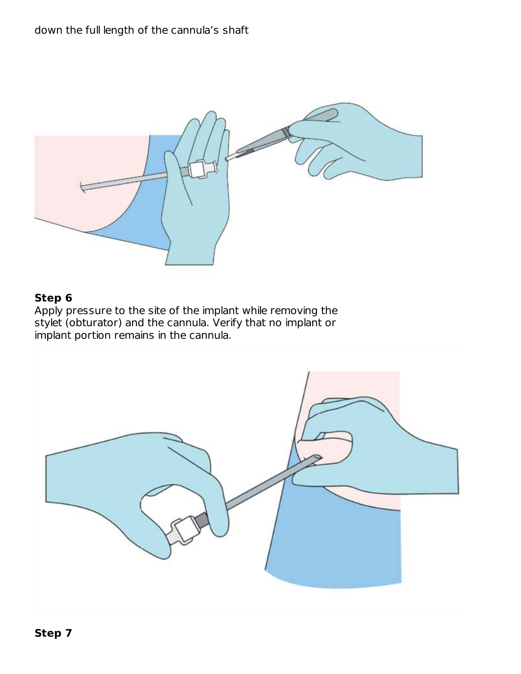

#### **Step 6**

Apply pressure to the site of the implant while removing the stylet (obturator) and the cannula. Verify that no implant or implant portion remains in the cannula.

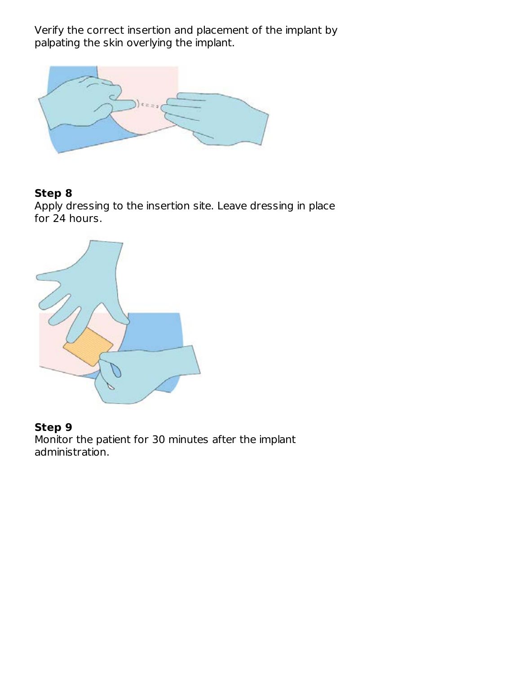Verify the correct insertion and placement of the implant by palpating the skin overlying the implant.



#### **Step 8**

Apply dressing to the insertion site. Leave dressing in place for 24 hours.



#### **Step 9**

Monitor the patient for 30 minutes after the implant administration.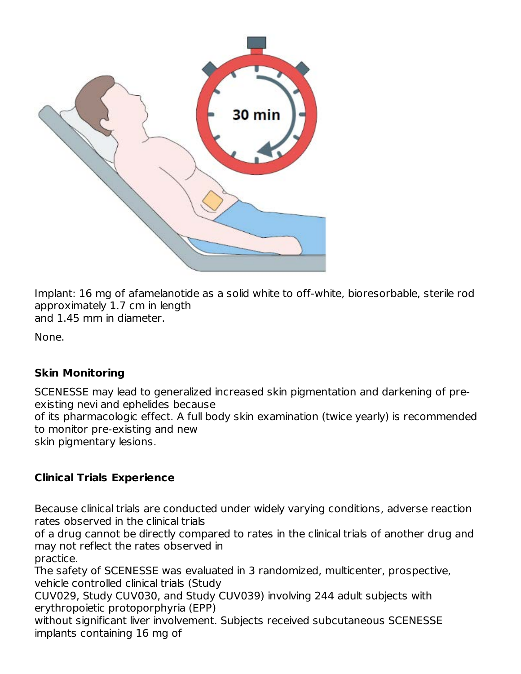

Implant: 16 mg of afamelanotide as a solid white to off-white, bioresorbable, sterile rod approximately 1.7 cm in length and 1.45 mm in diameter.

None.

#### **Skin Monitoring**

SCENESSE may lead to generalized increased skin pigmentation and darkening of preexisting nevi and ephelides because of its pharmacologic effect. A full body skin examination (twice yearly) is recommended to monitor pre-existing and new skin pigmentary lesions.

### **Clinical Trials Experience**

Because clinical trials are conducted under widely varying conditions, adverse reaction rates observed in the clinical trials

of a drug cannot be directly compared to rates in the clinical trials of another drug and may not reflect the rates observed in

practice. The safety of SCENESSE was evaluated in 3 randomized, multicenter, prospective, vehicle controlled clinical trials (Study

CUV029, Study CUV030, and Study CUV039) involving 244 adult subjects with erythropoietic protoporphyria (EPP)

without significant liver involvement. Subjects received subcutaneous SCENESSE implants containing 16 mg of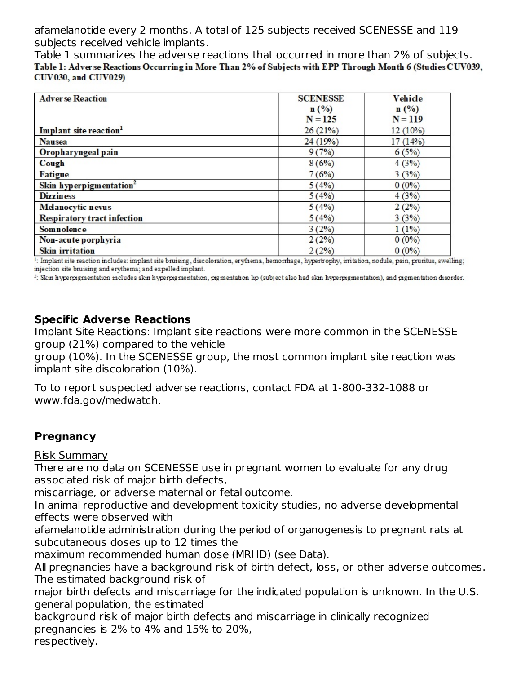afamelanotide every 2 months. A total of 125 subjects received SCENESSE and 119 subjects received vehicle implants.

Table 1 summarizes the adverse reactions that occurred in more than 2% of subjects. Table 1: Adverse Reactions Occurring in More Than 2% of Subjects with EPP Through Month 6 (Studies CUV039, **CUV030, and CUV029)** 

| <b>Adverse Reaction</b>             | <b>SCENESSE</b>  | Vehide    |
|-------------------------------------|------------------|-----------|
|                                     |                  |           |
|                                     | $\mathbf{n}(\%)$ | n(%)      |
|                                     | $N = 125$        | $N = 119$ |
| Implant site reaction <sup>1</sup>  | 26(21%)          | 12 (10%)  |
| <b>Nausea</b>                       | 24(19%)          | 17(14%)   |
| Oropharyngeal pain                  | 9(7%)            | 6(5%)     |
| Cough                               | 8(6%)            | 4(3%)     |
| <b>Fatigue</b>                      | 7(6%)            | 3(3%)     |
| Skin hyperpigmentation <sup>2</sup> | 5(4%)            | $0(0\%)$  |
| <b>Dizziness</b>                    | 5(4%)            | 4(3%)     |
| Melanocytic nevus                   | 5(4%)            | 2(2%)     |
| <b>Respiratory tract infection</b>  | 5(4%)            | 3(3%)     |
| Somnolence                          | 3(2%)            | 1(1%)     |
| Non-acute porphyria                 | 2(2%)            | $0(0\%)$  |
| <b>Skin</b> irritation              | 2(2%)            | $0(0\%)$  |

!: Implant site reaction includes: implant site bruising, discoloration, erythema, hemorrhage, hypertrophy, irritation, nodule, pain, pruritus, swelling; injection site bruising and erythema; and expelled implant.

<sup>2</sup>: Skin hyperpigmentation includes skin hyperpigmentation, pigmentation lip (subject also had skin hyperpigmentation), and pigmentation disorder.

#### **Specific Adverse Reactions**

Implant Site Reactions: Implant site reactions were more common in the SCENESSE group (21%) compared to the vehicle

group (10%). In the SCENESSE group, the most common implant site reaction was implant site discoloration (10%).

To to report suspected adverse reactions, contact FDA at 1-800-332-1088 or www.fda.gov/medwatch.

#### **Pregnancy**

Risk Summary

There are no data on SCENESSE use in pregnant women to evaluate for any drug associated risk of major birth defects,

miscarriage, or adverse maternal or fetal outcome.

In animal reproductive and development toxicity studies, no adverse developmental effects were observed with

afamelanotide administration during the period of organogenesis to pregnant rats at subcutaneous doses up to 12 times the

maximum recommended human dose (MRHD) (see Data).

All pregnancies have a background risk of birth defect, loss, or other adverse outcomes. The estimated background risk of

major birth defects and miscarriage for the indicated population is unknown. In the U.S. general population, the estimated

background risk of major birth defects and miscarriage in clinically recognized pregnancies is 2% to 4% and 15% to 20%,

respectively.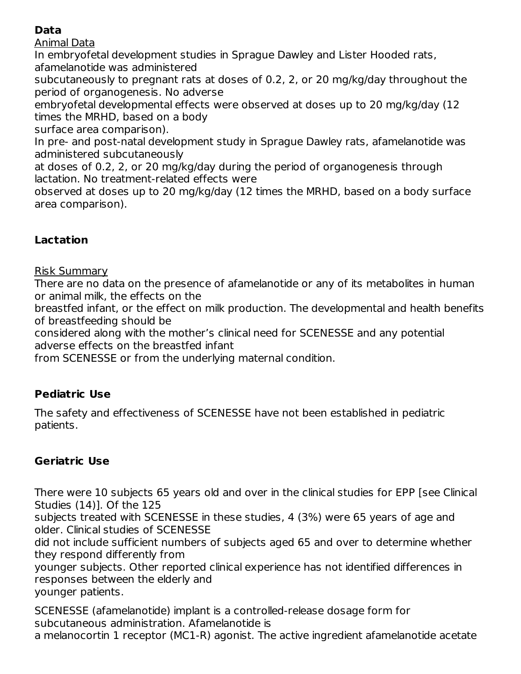### **Data**

Animal Data

In embryofetal development studies in Sprague Dawley and Lister Hooded rats, afamelanotide was administered

subcutaneously to pregnant rats at doses of 0.2, 2, or 20 mg/kg/day throughout the period of organogenesis. No adverse

embryofetal developmental effects were observed at doses up to 20 mg/kg/day (12 times the MRHD, based on a body

surface area comparison).

In pre- and post-natal development study in Sprague Dawley rats, afamelanotide was administered subcutaneously

at doses of 0.2, 2, or 20 mg/kg/day during the period of organogenesis through lactation. No treatment-related effects were

observed at doses up to 20 mg/kg/day (12 times the MRHD, based on a body surface area comparison).

### **Lactation**

Risk Summary

There are no data on the presence of afamelanotide or any of its metabolites in human or animal milk, the effects on the

breastfed infant, or the effect on milk production. The developmental and health benefits of breastfeeding should be

considered along with the mother's clinical need for SCENESSE and any potential adverse effects on the breastfed infant

from SCENESSE or from the underlying maternal condition.

#### **Pediatric Use**

The safety and effectiveness of SCENESSE have not been established in pediatric patients.

### **Geriatric Use**

There were 10 subjects 65 years old and over in the clinical studies for EPP [see Clinical Studies (14)]. Of the 125

subjects treated with SCENESSE in these studies, 4 (3%) were 65 years of age and older. Clinical studies of SCENESSE

did not include sufficient numbers of subjects aged 65 and over to determine whether they respond differently from

younger subjects. Other reported clinical experience has not identified differences in responses between the elderly and younger patients.

SCENESSE (afamelanotide) implant is a controlled-release dosage form for subcutaneous administration. Afamelanotide is a melanocortin 1 receptor (MC1-R) agonist. The active ingredient afamelanotide acetate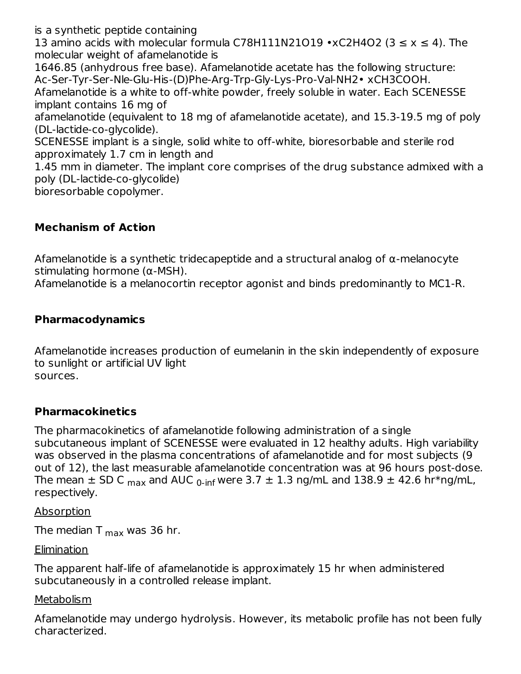is a synthetic peptide containing

13 amino acids with molecular formula C78H111N21O19 •xC2H4O2 (3  $\leq$  x  $\leq$  4). The molecular weight of afamelanotide is

1646.85 (anhydrous free base). Afamelanotide acetate has the following structure: Ac-Ser-Tyr-Ser-Nle-Glu-His-(D)Phe-Arg-Trp-Gly-Lys-Pro-Val-NH2• xCH3COOH.

Afamelanotide is a white to off-white powder, freely soluble in water. Each SCENESSE implant contains 16 mg of

afamelanotide (equivalent to 18 mg of afamelanotide acetate), and 15.3-19.5 mg of poly (DL-lactide-co-glycolide).

SCENESSE implant is a single, solid white to off-white, bioresorbable and sterile rod approximately 1.7 cm in length and

1.45 mm in diameter. The implant core comprises of the drug substance admixed with a poly (DL-lactide-co-glycolide)

bioresorbable copolymer.

#### **Mechanism of Action**

Afamelanotide is a synthetic tridecapeptide and a structural analog of α-melanocyte stimulating hormone (α-MSH).

Afamelanotide is a melanocortin receptor agonist and binds predominantly to MC1-R.

#### **Pharmacodynamics**

Afamelanotide increases production of eumelanin in the skin independently of exposure to sunlight or artificial UV light sources.

#### **Pharmacokinetics**

The pharmacokinetics of afamelanotide following administration of a single subcutaneous implant of SCENESSE were evaluated in 12 healthy adults. High variability was observed in the plasma concentrations of afamelanotide and for most subjects (9 out of 12), the last measurable afamelanotide concentration was at 96 hours post-dose. The mean  $\pm$  SD C  $_{\sf max}$  and AUC  $_{\sf 0\text{-}inf}$  were 3.7  $\pm$  1.3 ng/mL and 138.9  $\pm$  42.6 hr\*ng/mL, respectively.

Absorption

The median T  $_{\sf max}$  was 36 hr.

**Elimination** 

The apparent half-life of afamelanotide is approximately 15 hr when administered subcutaneously in a controlled release implant.

#### **Metabolism**

Afamelanotide may undergo hydrolysis. However, its metabolic profile has not been fully characterized.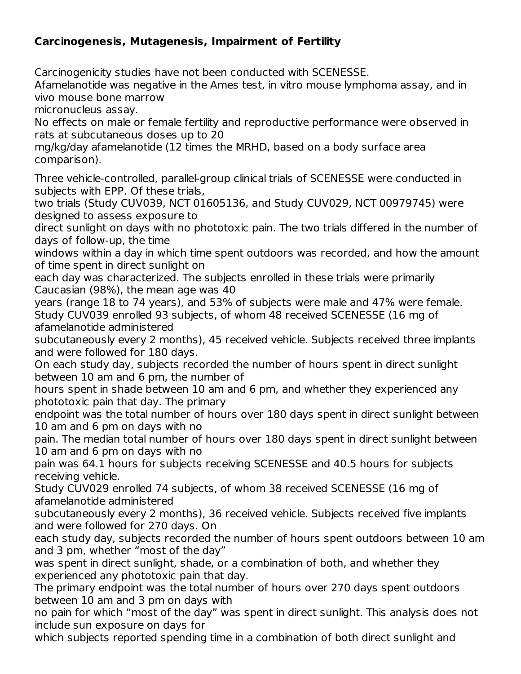#### **Carcinogenesis, Mutagenesis, Impairment of Fertility**

Carcinogenicity studies have not been conducted with SCENESSE.

Afamelanotide was negative in the Ames test, in vitro mouse lymphoma assay, and in vivo mouse bone marrow

micronucleus assay.

No effects on male or female fertility and reproductive performance were observed in rats at subcutaneous doses up to 20

mg/kg/day afamelanotide (12 times the MRHD, based on a body surface area comparison).

Three vehicle-controlled, parallel-group clinical trials of SCENESSE were conducted in subjects with EPP. Of these trials,

two trials (Study CUV039, NCT 01605136, and Study CUV029, NCT 00979745) were designed to assess exposure to

direct sunlight on days with no phototoxic pain. The two trials differed in the number of days of follow-up, the time

windows within a day in which time spent outdoors was recorded, and how the amount of time spent in direct sunlight on

each day was characterized. The subjects enrolled in these trials were primarily Caucasian (98%), the mean age was 40

years (range 18 to 74 years), and 53% of subjects were male and 47% were female. Study CUV039 enrolled 93 subjects, of whom 48 received SCENESSE (16 mg of afamelanotide administered

subcutaneously every 2 months), 45 received vehicle. Subjects received three implants and were followed for 180 days.

On each study day, subjects recorded the number of hours spent in direct sunlight between 10 am and 6 pm, the number of

hours spent in shade between 10 am and 6 pm, and whether they experienced any phototoxic pain that day. The primary

endpoint was the total number of hours over 180 days spent in direct sunlight between 10 am and 6 pm on days with no

pain. The median total number of hours over 180 days spent in direct sunlight between 10 am and 6 pm on days with no

pain was 64.1 hours for subjects receiving SCENESSE and 40.5 hours for subjects receiving vehicle.

Study CUV029 enrolled 74 subjects, of whom 38 received SCENESSE (16 mg of afamelanotide administered

subcutaneously every 2 months), 36 received vehicle. Subjects received five implants and were followed for 270 days. On

each study day, subjects recorded the number of hours spent outdoors between 10 am and 3 pm, whether "most of the day"

was spent in direct sunlight, shade, or a combination of both, and whether they experienced any phototoxic pain that day.

The primary endpoint was the total number of hours over 270 days spent outdoors between 10 am and 3 pm on days with

no pain for which "most of the day" was spent in direct sunlight. This analysis does not include sun exposure on days for

which subjects reported spending time in a combination of both direct sunlight and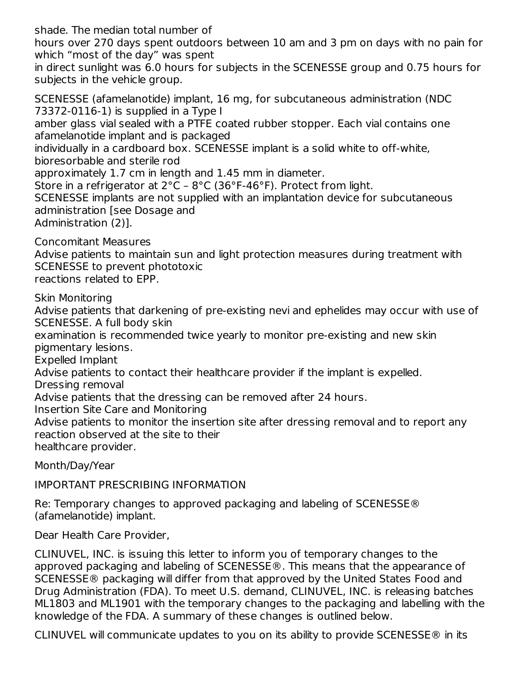shade. The median total number of

hours over 270 days spent outdoors between 10 am and 3 pm on days with no pain for which "most of the day" was spent

in direct sunlight was 6.0 hours for subjects in the SCENESSE group and 0.75 hours for subjects in the vehicle group.

SCENESSE (afamelanotide) implant, 16 mg, for subcutaneous administration (NDC 73372-0116-1) is supplied in a Type I amber glass vial sealed with a PTFE coated rubber stopper. Each vial contains one afamelanotide implant and is packaged individually in a cardboard box. SCENESSE implant is a solid white to off-white, bioresorbable and sterile rod approximately 1.7 cm in length and 1.45 mm in diameter. Store in a refrigerator at 2°C – 8°C (36°F-46°F). Protect from light. SCENESSE implants are not supplied with an implantation device for subcutaneous administration [see Dosage and Administration (2)].

Concomitant Measures Advise patients to maintain sun and light protection measures during treatment with SCENESSE to prevent phototoxic reactions related to EPP.

Skin Monitoring

Advise patients that darkening of pre-existing nevi and ephelides may occur with use of SCENESSE. A full body skin

examination is recommended twice yearly to monitor pre-existing and new skin pigmentary lesions.

Expelled Implant

Advise patients to contact their healthcare provider if the implant is expelled.

Dressing removal

Advise patients that the dressing can be removed after 24 hours.

Insertion Site Care and Monitoring

Advise patients to monitor the insertion site after dressing removal and to report any reaction observed at the site to their healthcare provider.

Month/Day/Year

IMPORTANT PRESCRIBING INFORMATION

Re: Temporary changes to approved packaging and labeling of SCENESSE® (afamelanotide) implant.

Dear Health Care Provider,

CLINUVEL, INC. is issuing this letter to inform you of temporary changes to the approved packaging and labeling of SCENESSE®. This means that the appearance of SCENESSE® packaging will differ from that approved by the United States Food and Drug Administration (FDA). To meet U.S. demand, CLINUVEL, INC. is releasing batches ML1803 and ML1901 with the temporary changes to the packaging and labelling with the knowledge of the FDA. A summary of these changes is outlined below.

CLINUVEL will communicate updates to you on its ability to provide SCENESSE® in its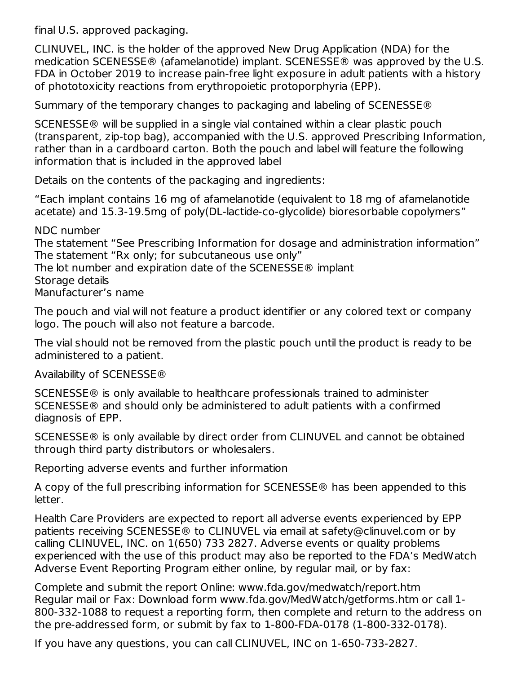final U.S. approved packaging.

CLINUVEL, INC. is the holder of the approved New Drug Application (NDA) for the medication SCENESSE® (afamelanotide) implant. SCENESSE® was approved by the U.S. FDA in October 2019 to increase pain-free light exposure in adult patients with a history of phototoxicity reactions from erythropoietic protoporphyria (EPP).

Summary of the temporary changes to packaging and labeling of SCENESSE®

SCENESSE® will be supplied in a single vial contained within a clear plastic pouch (transparent, zip-top bag), accompanied with the U.S. approved Prescribing Information, rather than in a cardboard carton. Both the pouch and label will feature the following information that is included in the approved label

Details on the contents of the packaging and ingredients:

"Each implant contains 16 mg of afamelanotide (equivalent to 18 mg of afamelanotide acetate) and 15.3-19.5mg of poly(DL-lactide-co-glycolide) bioresorbable copolymers"

NDC number The statement "See Prescribing Information for dosage and administration information" The statement "Rx only; for subcutaneous use only" The lot number and expiration date of the SCENESSE® implant Storage details Manufacturer's name

The pouch and vial will not feature a product identifier or any colored text or company logo. The pouch will also not feature a barcode.

The vial should not be removed from the plastic pouch until the product is ready to be administered to a patient.

Availability of SCENESSE®

SCENESSE® is only available to healthcare professionals trained to administer SCENESSE® and should only be administered to adult patients with a confirmed diagnosis of EPP.

SCENESSE® is only available by direct order from CLINUVEL and cannot be obtained through third party distributors or wholesalers.

Reporting adverse events and further information

A copy of the full prescribing information for SCENESSE® has been appended to this letter.

Health Care Providers are expected to report all adverse events experienced by EPP patients receiving SCENESSE® to CLINUVEL via email at safety@clinuvel.com or by calling CLINUVEL, INC. on 1(650) 733 2827. Adverse events or quality problems experienced with the use of this product may also be reported to the FDA's MedWatch Adverse Event Reporting Program either online, by regular mail, or by fax:

Complete and submit the report Online: www.fda.gov/medwatch/report.htm Regular mail or Fax: Download form www.fda.gov/MedWatch/getforms.htm or call 1- 800-332-1088 to request a reporting form, then complete and return to the address on the pre-addressed form, or submit by fax to 1-800-FDA-0178 (1-800-332-0178).

If you have any questions, you can call CLINUVEL, INC on 1-650-733-2827.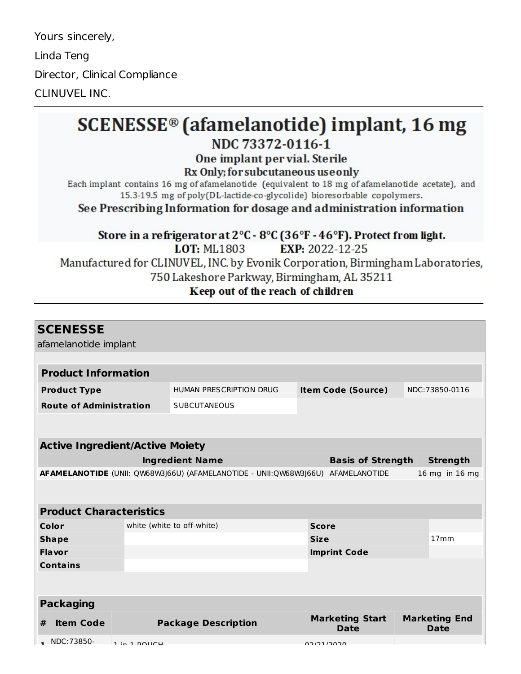Yours sincerely, Linda Teng Director, Clinical Compliance CLINUVEL INC.

# **SCENESSE<sup>®</sup>** (afamelanotide) implant, 16 mg

## NDC 73372-0116-1

#### One implant per vial. Sterile

Rx Only; for subcutaneous use only

Each implant contains 16 mg of afamelanotide (equivalent to 18 mg of afamelanotide acetate), and 15.3-19.5 mg of poly(DL-lactide-co-glycolide) bioresorbable copolymers.

See Prescribing Information for dosage and administration information

Store in a refrigerator at 2°C - 8°C (36°F - 46°F). Protect from light. EXP: 2022-12-25 **LOT: ML1803** Manufactured for CLINUVEL, INC. by Evonik Corporation, Birmingham Laboratories, 750 Lakeshore Parkway, Birmingham, AL 35211 Keep out of the reach of children

| <b>SCENESSE</b>                                                                                    |  |                            |              |                           |  |                      |  |  |
|----------------------------------------------------------------------------------------------------|--|----------------------------|--------------|---------------------------|--|----------------------|--|--|
| afamelanotide implant                                                                              |  |                            |              |                           |  |                      |  |  |
|                                                                                                    |  |                            |              |                           |  |                      |  |  |
| <b>Product Information</b>                                                                         |  |                            |              |                           |  |                      |  |  |
| <b>Product Type</b>                                                                                |  | HUMAN PRESCRIPTION DRUG    |              | <b>Item Code (Source)</b> |  | NDC:73850-0116       |  |  |
| <b>Route of Administration</b>                                                                     |  | <b>SUBCUTANEOUS</b>        |              |                           |  |                      |  |  |
|                                                                                                    |  |                            |              |                           |  |                      |  |  |
|                                                                                                    |  |                            |              |                           |  |                      |  |  |
| <b>Active Ingredient/Active Moiety</b>                                                             |  |                            |              |                           |  |                      |  |  |
| <b>Ingredient Name</b>                                                                             |  |                            |              | <b>Basis of Strength</b>  |  | <b>Strength</b>      |  |  |
| AFAMELANOTIDE (UNII: QW68W3J66U) (AFAMELANOTIDE - UNII:QW68W3J66U) AFAMELANOTIDE<br>16 mg in 16 mg |  |                            |              |                           |  |                      |  |  |
|                                                                                                    |  |                            |              |                           |  |                      |  |  |
|                                                                                                    |  |                            |              |                           |  |                      |  |  |
| <b>Product Characteristics</b>                                                                     |  |                            |              |                           |  |                      |  |  |
| Color                                                                                              |  | white (white to off-white) | <b>Score</b> |                           |  |                      |  |  |
| <b>Shape</b>                                                                                       |  |                            | <b>Size</b>  |                           |  | 17mm                 |  |  |
| <b>Flavor</b>                                                                                      |  |                            |              | <b>Imprint Code</b>       |  |                      |  |  |
| <b>Contains</b>                                                                                    |  |                            |              |                           |  |                      |  |  |
|                                                                                                    |  |                            |              |                           |  |                      |  |  |
|                                                                                                    |  |                            |              |                           |  |                      |  |  |
| <b>Packaging</b>                                                                                   |  |                            |              |                           |  |                      |  |  |
| <b>Item Code</b><br>#                                                                              |  | <b>Package Description</b> |              | <b>Marketing Start</b>    |  | <b>Marketing End</b> |  |  |
|                                                                                                    |  |                            |              | Date                      |  | <b>Date</b>          |  |  |